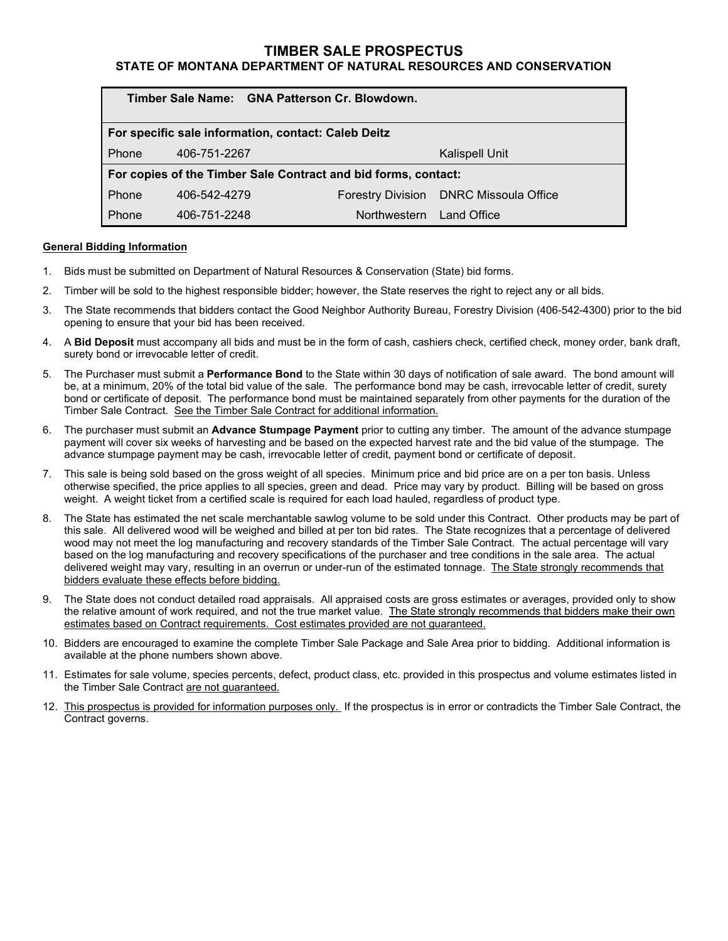# **TIMBER SALE PROSPECTUS**

# **STATE OF MONTANA DEPARTMENT OF NATURAL RESOURCES AND CONSERVATION**

| Timber Sale Name: GNA Patterson Cr. Blowdown.                  |              |              |                                        |
|----------------------------------------------------------------|--------------|--------------|----------------------------------------|
| For specific sale information, contact: Caleb Deitz            |              |              |                                        |
| Phone                                                          | 406-751-2267 |              | <b>Kalispell Unit</b>                  |
| For copies of the Timber Sale Contract and bid forms, contact: |              |              |                                        |
| Phone                                                          | 406-542-4279 |              | Forestry Division DNRC Missoula Office |
| Phone                                                          | 406-751-2248 | Northwestern | Land Office                            |

### **General Bidding Information**

- 1. Bids must be submitted on Department of Natural Resources & Conservation (State) bid forms.
- 2. Timber will be sold to the highest responsible bidder; however, the State reserves the right to reject any or all bids.
- 3. The State recommends that bidders contact the Good Neighbor Authority Bureau, Forestry Division (406-542-4300) prior to the bid opening to ensure that your bid has been received.
- 4. A **Bid Deposit** must accompany all bids and must be in the form of cash, cashiers check, certified check, money order, bank draft, surety bond or irrevocable letter of credit.
- 5. The Purchaser must submit a **Performance Bond** to the State within 30 days of notification of sale award. The bond amount will be, at a minimum, 20% of the total bid value of the sale. The performance bond may be cash, irrevocable letter of credit, surety bond or certificate of deposit. The performance bond must be maintained separately from other payments for the duration of the Timber Sale Contract. See the Timber Sale Contract for additional information.
- 6. The purchaser must submit an **Advance Stumpage Payment** prior to cutting any timber. The amount of the advance stumpage payment will cover six weeks of harvesting and be based on the expected harvest rate and the bid value of the stumpage. The advance stumpage payment may be cash, irrevocable letter of credit, payment bond or certificate of deposit.
- 7. This sale is being sold based on the gross weight of all species. Minimum price and bid price are on a per ton basis. Unless otherwise specified, the price applies to all species, green and dead. Price may vary by product. Billing will be based on gross weight. A weight ticket from a certified scale is required for each load hauled, regardless of product type.
- 8. The State has estimated the net scale merchantable sawlog volume to be sold under this Contract. Other products may be part of this sale. All delivered wood will be weighed and billed at per ton bid rates. The State recognizes that a percentage of delivered wood may not meet the log manufacturing and recovery standards of the Timber Sale Contract. The actual percentage will vary based on the log manufacturing and recovery specifications of the purchaser and tree conditions in the sale area. The actual delivered weight may vary, resulting in an overrun or under-run of the estimated tonnage. The State strongly recommends that bidders evaluate these effects before bidding.
- 9. The State does not conduct detailed road appraisals. All appraised costs are gross estimates or averages, provided only to show the relative amount of work required, and not the true market value. The State strongly recommends that bidders make their own estimates based on Contract requirements. Cost estimates provided are not guaranteed.
- 10. Bidders are encouraged to examine the complete Timber Sale Package and Sale Area prior to bidding. Additional information is available at the phone numbers shown above.
- 11. Estimates for sale volume, species percents, defect, product class, etc. provided in this prospectus and volume estimates listed in the Timber Sale Contract are not guaranteed.
- 12. This prospectus is provided for information purposes only. If the prospectus is in error or contradicts the Timber Sale Contract, the Contract governs.